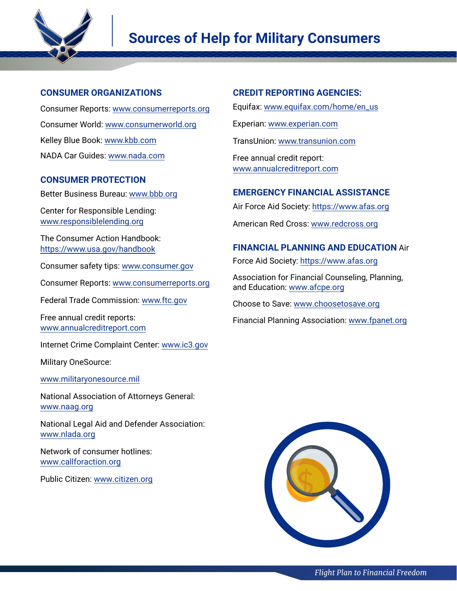

# **Sources of Help for Military Consumers**

# **CONSUMER ORGANIZATIONS**

Consumer Reports: [www.consumerreports.org](http://www.consumerreports.org) Consumer World: [www.consumerworld.org](http://www.consumerworld.org) Kelley Blue Book: [www.kbb.com](http://www.kbb.com) NADA Car Guides: [www.nada.com](http://www.nada.com)

# **CONSUMER PROTECTION**

Better Business Bureau: [www.bbb.org](http://www.bbb.org)

Center for Responsible Lending: [www.responsiblelending.org](http://www.responsiblelending.org)

The Consumer Action Handbook: <https://www.usa.gov/handbook>

Consumer safety tips: [www.consumer.gov](http://www.consumer.gov)

Consumer Reports: [www.consumerreports.org](http://www.consumerreports.org)

Federal Trade Commission: [www.ftc.gov](http://www.ftc.gov)

Free annual credit reports: [www.annualcreditreport.com](http://www.annualcreditreport.com)

Internet Crime Complaint Center: [www.ic3.gov](http://www.ic3.gov)

Military OneSource:

[www.militaryonesource.mil](http://www.militaryonesource.mil)

National Association of Attorneys General: [www.naag.org](http://www.naag.org)

National Legal Aid and Defender Association: [www.nlada.org](http://www.nlada.org)

Network of consumer hotlines: [www.callforaction.org](http://www.callforaction.org)

Public Citizen: [www.citizen.org](http://www.citizen.org)

## **CREDIT REPORTING AGENCIES:**

Equifax: [www.equifax.com/home/en\\_us](http://www.equifax.com/home/en_us)

Experian: [www.experian.com](http://www.experian.com)

TransUnion: [www.transunion.com](http://www.transunion.com)

Free annual credit report: [www.annualcreditreport.com](http://www.annualcreditreport.com)

## **EMERGENCY FINANCIAL ASSISTANCE**

Air Force Aid Society:<https://www.afas.org>

American Red Cross: [www.redcross.org](http://www.redcross.org)

# **FINANCIAL PLANNING AND EDUCATION** Air

Force Aid Society:<https://www.afas.org>

Association for Financial Counseling, Planning, and Education: [www.afcpe.org](http://www.afcpe.org)

Choose to Save: [www.choosetosave.org](http://www.choosetosave.org)

Financial Planning Association: [www.fpanet.org](http://www.fpanet.org)

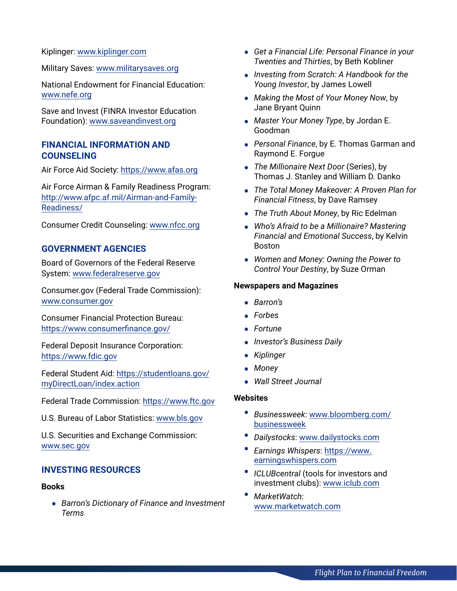Kiplinger: [www.kiplinger.com](http://www.kiplinger.com)

Military Saves: [www.militarysaves.org](http://www.militarysaves.org)

National Endowment for Financial Education: [www.nefe.org](http://www.nefe.org)

Save and Invest (FINRA Investor Education Foundation): [www.saveandinvest.org](http://www.saveandinvest.org)

## **FINANCIAL INFORMATION AND COUNSELING**

Air Force Aid Society: <https://www.afas.org>

Air Force Airman & Family Readiness Program: [http://www.afpc.af.mil/Airman-and-Family-](http://www.afpc.af.mil/Airman-and-Family-Readiness/)[Readiness/](http://www.afpc.af.mil/Airman-and-Family-Readiness/)

Consumer Credit Counseling: [www.nfcc.org](http://www.nfcc.org)

## **GOVERNMENT AGENCIES**

Board of Governors of the Federal Reserve System: [www.federalreserve.gov](http://www.federalreserve.gov)

Consumer.gov (Federal Trade Commission): [www.consumer.gov](http://www.consumer.gov)

Consumer Financial Protection Bureau: <https://www.consumerfinance.gov/>

Federal Deposit Insurance Corporation: <https://www.fdic.gov>

Federal Student Aid: [https://studentloans.gov/](https://studentloans.gov/myDirectLoan/index.action) [myDirectLoan/index.action](https://studentloans.gov/myDirectLoan/index.action)

Federal Trade Commission:<https://www.ftc.gov>

U.S. Bureau of Labor Statistics: [www.bls.gov](http://www.bls.gov)

U.S. Securities and Exchange Commission: [www.sec.gov](http://www.sec.gov)

## **INVESTING RESOURCES**

#### **Books**

**•** *Barron's Dictionary of Finance and Investment Terms*

- **•** *Get a Financial Life: Personal Finance in your Twenties and Thirties*, by Beth Kobliner
- **•** *Investing from Scratch: A Handbook for the Young Investor*, by James Lowell
- **•** *Making the Most of Your Money Now*, by Jane Bryant Quinn
- **•** *Master Your Money Type*, by Jordan E. Goodman
- **•** *Personal Finance*, by E. Thomas Garman and Raymond E. Forgue
- **•** *The Millionaire Next Door* (Series), by Thomas J. Stanley and William D. Danko
- **•** *The Total Money Makeover: A Proven Plan for Financial Fitness*, by Dave Ramsey
- **•** *The Truth About Money*, by Ric Edelman
- **•** *Who's Afraid to be a Millionaire? Mastering Financial and Emotional Success*, by Kelvin Boston
- **•** *Women and Money: Owning the Power to Control Your Destiny*, by Suze Orman

#### **Newspapers and Magazines**

- **•** *Barron's*
- **•** *Forbes*
- **•** *Fortune*
- **•** *Investor's Business Daily*
- **•** *Kiplinger*
- **•** *Money*
- **•** *Wall Street Journal*

### **Websites**

- **•** *Businessweek*: [www.bloomberg.com/](http://www.bloomberg.com/businessweek) [businessweek](http://www.bloomberg.com/businessweek)
- **•** *Dailystocks*: [www.dailystocks.com](http://www.dailystocks.com)
- **•** *Earnings Whispers*: [https://www.](https://www.earningswhispers.com) [earningswhispers.com](https://www.earningswhispers.com)
- **•** *ICLUBcentral* (tools for investors and investment clubs): [www.iclub.com](http://www.iclub.com)
- **•** *MarketWatch*: [www.marketwatch.com](http://www.marketwatch.com)